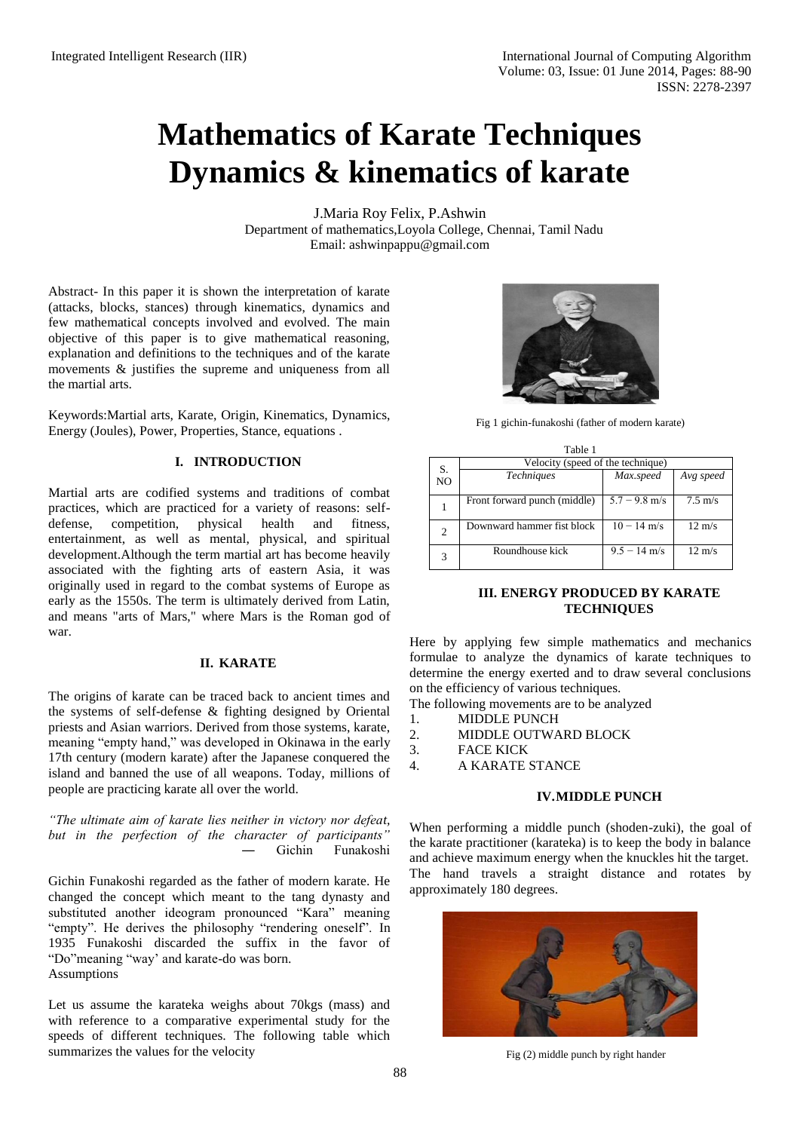# **Mathematics of Karate Techniques Dynamics & kinematics of karate**

J.Maria Roy Felix, P.Ashwin Department of mathematics,Loyola College, Chennai, Tamil Nadu Email: [ashwinpappu@gmail.com](mailto:ashwinpappu@gmail.com)

Abstract- In this paper it is shown the interpretation of karate (attacks, blocks, stances) through kinematics, dynamics and few mathematical concepts involved and evolved. The main objective of this paper is to give mathematical reasoning, explanation and definitions to the techniques and of the karate movements & justifies the supreme and uniqueness from all the martial arts.

Keywords:Martial arts, Karate, Origin, Kinematics, Dynamics, Energy (Joules), Power, Properties, Stance, equations .

# **I. INTRODUCTION**

Martial arts are codified systems and traditions of combat practices, which are practiced for a variety of reasons: selfdefense, competition, physical health and fitness, entertainment, as well as mental, physical, and spiritual development.Although the term martial art has become heavily associated with the fighting arts of eastern Asia, it was originally used in regard to the combat systems of Europe as early as the 1550s. The term is ultimately derived from Latin, and means "arts of Mars," where Mars is the Roman god of war.

#### **II. KARATE**

The origins of karate can be traced back to ancient times and the systems of self-defense & fighting designed by Oriental priests and Asian warriors. Derived from those systems, karate, meaning "empty hand," was developed in Okinawa in the early 17th century (modern karate) after the Japanese conquered the island and banned the use of all weapons. Today, millions of people are practicing karate all over the world.

*"The ultimate aim of karate lies neither in victory nor defeat, but in the perfection of the character of participants"*  Gichin Funakoshi

Gichin Funakoshi regarded as the father of modern karate. He changed the concept which meant to the tang dynasty and substituted another ideogram pronounced "Kara" meaning "empty". He derives the philosophy "rendering oneself". In 1935 Funakoshi discarded the suffix in the favor of "Do"meaning "way' and karate-do was born. Assumptions

Let us assume the karateka weighs about 70kgs (mass) and with reference to a comparative experimental study for the speeds of different techniques. The following table which summarizes the values for the velocity



Fig 1 gichin-funakoshi (father of modern karate)

| Table 1 |    |                                   |                 |                   |  |  |  |  |
|---------|----|-----------------------------------|-----------------|-------------------|--|--|--|--|
|         | S. | Velocity (speed of the technique) |                 |                   |  |  |  |  |
|         | NO | <b>Techniques</b>                 | Max.speed       | Avg speed         |  |  |  |  |
|         |    | Front forward punch (middle)      | $5.7 - 9.8$ m/s | $7.5 \text{ m/s}$ |  |  |  |  |
|         | 2  | Downward hammer fist block        | $10 - 14$ m/s   | $12 \text{ m/s}$  |  |  |  |  |
|         | 3  | Roundhouse kick                   | $9.5 - 14$ m/s  | $12 \text{ m/s}$  |  |  |  |  |

# **III. ENERGY PRODUCED BY KARATE TECHNIQUES**

Here by applying few simple mathematics and mechanics formulae to analyze the dynamics of karate techniques to determine the energy exerted and to draw several conclusions on the efficiency of various techniques.

The following movements are to be analyzed

- 1. MIDDLE PUNCH
- 2. MIDDLE OUTWARD BLOCK
- 3. FACE KICK

4. A KARATE STANCE

# **IV.MIDDLE PUNCH**

When performing a middle punch (shoden-zuki), the goal of the karate practitioner (karateka) is to keep the body in balance and achieve maximum energy when the knuckles hit the target. The hand travels a straight distance and rotates by approximately 180 degrees.



Fig (2) middle punch by right hander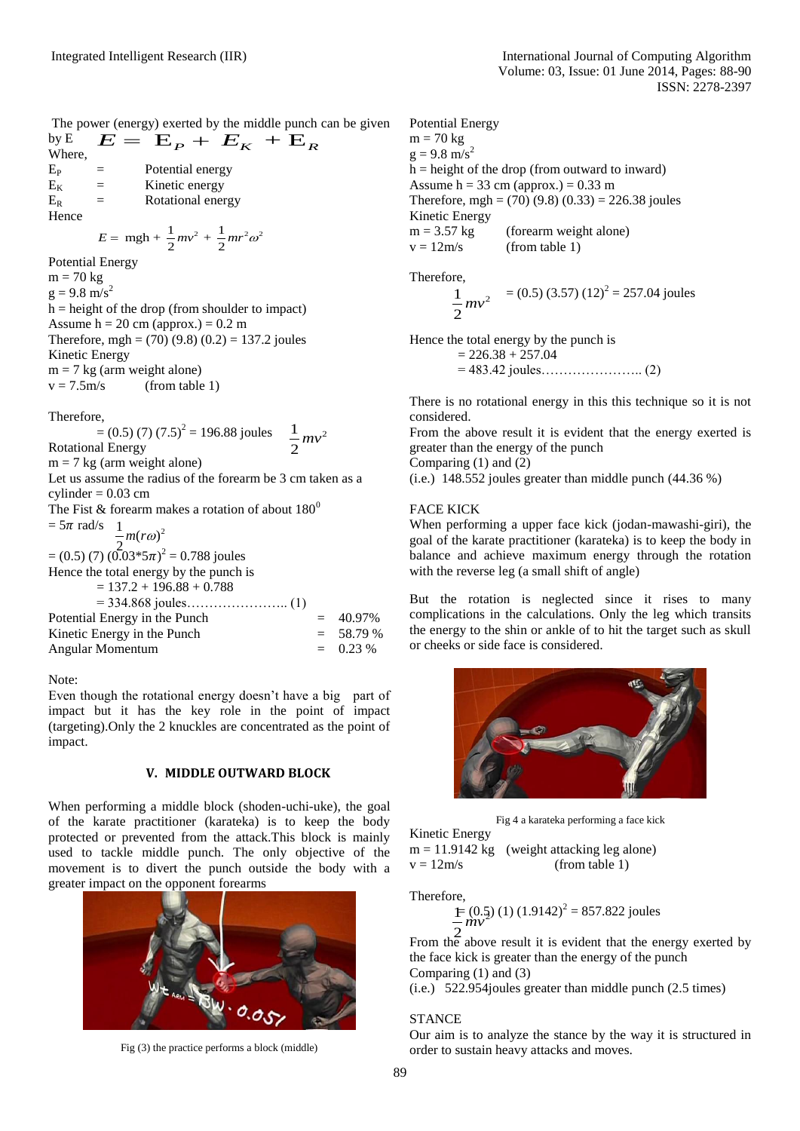The power (energy) exerted by the middle punch can be given by E  $E = E_{P} + E_{K} + E_{R}$ 

Where,  $E_P$  = Potential energy  $E_K$  = Kinetic energy<br>  $E_B$  = Rotational energy  $=$  Rotational energy Hence

$$
E = mgh + \frac{1}{2}mv^2 + \frac{1}{2}mr^2\omega^2
$$

Potential Energy

 $m = 70$  kg  $g = 9.8 \text{ m/s}^2$  $h =$  height of the drop (from shoulder to impact) Assume  $h = 20$  cm (approx.) = 0.2 m Therefore, mgh = (70) (9.8) (0.2) = 137.2 joules Kinetic Energy m = 7 kg (arm weight alone)<br> $v = 7.5$ m/s (from table  $(from table 1)$ 

# Therefore,

 $=(0.5)(7)(7.5)^2 = 196.88 \text{ joules}$   $\frac{1}{2}mv^2$ Rotational Energy  $m = 7$  kg (arm weight alone) 2 *mv*

Let us assume the radius of the forearm be 3 cm taken as a cylinder  $= 0.03$  cm

The Fist & forearm makes a rotation of about  $180^0$ 

 $= 5\pi$  rad/s  $\frac{1}{2}m(r\omega)^2$  $m(ro)$ 

 $=(0.5)$  (7)  $(0.03*5\pi)^2 = 0.788$  joules Hence the total energy by the punch is 2

| $= 137.2 + 196.88 + 0.788$    |             |
|-------------------------------|-------------|
|                               |             |
| Potential Energy in the Punch | $= 40.97\%$ |
| Kinetic Energy in the Punch   | $= 58.79 %$ |
| Angular Momentum              | $= 0.23 %$  |

Note:

Even though the rotational energy doesn't have a big part of impact but it has the key role in the point of impact (targeting).Only the 2 knuckles are concentrated as the point of impact.

#### **V. MIDDLE OUTWARD BLOCK**

When performing a middle block (shoden-uchi-uke), the goal of the karate practitioner (karateka) is to keep the body protected or prevented from the attack.This block is mainly used to tackle middle punch. The only objective of the movement is to divert the punch outside the body with a greater impact on the opponent forearms



Fig (3) the practice performs a block (middle)

Potential Energy  $m = 70$  kg  $g = 9.8 \text{ m/s}^2$  $h =$  height of the drop (from outward to inward) Assume  $h = 33$  cm (approx.) = 0.33 m Therefore, mgh =  $(70)$  (9.8) (0.33) = 226.38 joules Kinetic Energy  $m = 3.57$  kg (forearm weight alone)  $v = 12m/s$  (from table 1)

Therefore,

$$
\frac{1}{2}mv^2 = (0.5) (3.57) (12)^2 = 257.04 \text{ joules}
$$

Hence the total energy by the punch is

 $= 226.38 + 257.04$  $= 483.42$  joules…………………….. (2)

There is no rotational energy in this this technique so it is not considered.

From the above result it is evident that the energy exerted is greater than the energy of the punch

Comparing (1) and (2)

(i.e.) 148.552 joules greater than middle punch (44.36 %)

# FACE KICK

When performing a upper face kick (jodan-mawashi-giri), the goal of the karate practitioner (karateka) is to keep the body in balance and achieve maximum energy through the rotation with the reverse leg (a small shift of angle)

But the rotation is neglected since it rises to many complications in the calculations. Only the leg which transits the energy to the shin or ankle of to hit the target such as skull or cheeks or side face is considered.



Fig 4 a karateka performing a face kick

Kinetic Energy

 $m = 11.9142$  kg (weight attacking leg alone)  $v = 12m/s$  (from table 1)

Therefore,

$$
\frac{1}{2} (0.5) (1) (1.9142)^2 = 857.822 \text{ joules}
$$

From the above result it is evident that the energy exerted by the face kick is greater than the energy of the punch Comparing (1) and (3)

(i.e.) 522.954joules greater than middle punch (2.5 times)

# **STANCE**

Our aim is to analyze the stance by the way it is structured in order to sustain heavy attacks and moves.